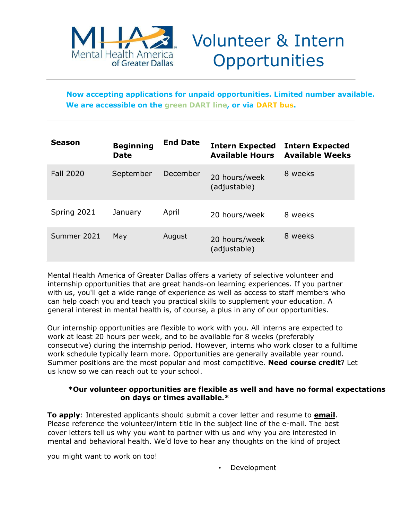

# Volunteer & Intern **Opportunities**

**Now accepting applications for unpaid opportunities. Limited number available. We are accessible on the green DART line, or via DART bus.** 

| Season           | <b>Beginning</b><br><b>Date</b> | <b>End Date</b> | <b>Intern Expected</b><br><b>Available Hours</b> | <b>Intern Expected</b><br><b>Available Weeks</b> |
|------------------|---------------------------------|-----------------|--------------------------------------------------|--------------------------------------------------|
| <b>Fall 2020</b> | September                       | December        | 20 hours/week<br>(adjustable)                    | 8 weeks                                          |
| Spring 2021      | January                         | April           | 20 hours/week                                    | 8 weeks                                          |
| Summer 2021      | May                             | August          | 20 hours/week<br>(adjustable)                    | 8 weeks                                          |

Mental Health America of Greater Dallas offers a variety of selective volunteer and internship opportunities that are great hands-on learning experiences. If you partner with us, you'll get a wide range of experience as well as access to staff members who can help coach you and teach you practical skills to supplement your education. A general interest in mental health is, of course, a plus in any of our opportunities.

Our internship opportunities are flexible to work with you. All interns are expected to work at least 20 hours per week, and to be available for 8 weeks (preferably consecutive) during the internship period. However, interns who work closer to a fulltime work schedule typically learn more. Opportunities are generally available year round. Summer positions are the most popular and most competitive. **Need course credit**? Let us know so we can reach out to your school.

#### **\*Our volunteer opportunities are flexible as well and have no formal expectations on days or times available.\***

**To apply**: Interested applicants should submit a cover letter and resume to **email**. Please reference the volunteer/intern title in the subject line of the e-mail. The best cover letters tell us why you want to partner with us and why you are interested in mental and behavioral health. We'd love to hear any thoughts on the kind of project

you might want to work on too!

• Development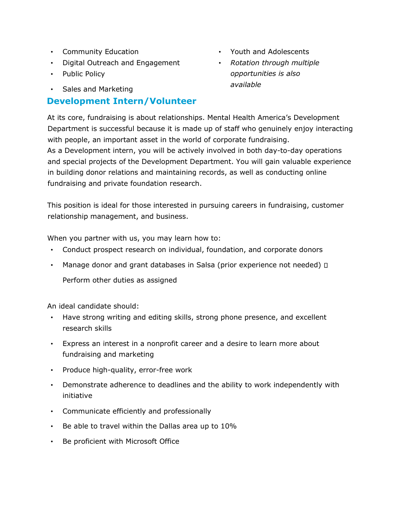- Community Education
- Digital Outreach and Engagement
- Public Policy
- Sales and Marketing

### **Development Intern/Volunteer**

- Youth and Adolescents
- *Rotation through multiple opportunities is also available*

At its core, fundraising is about relationships. Mental Health America's Development Department is successful because it is made up of staff who genuinely enjoy interacting with people, an important asset in the world of corporate fundraising. As a Development intern, you will be actively involved in both day-to-day operations and special projects of the Development Department. You will gain valuable experience in building donor relations and maintaining records, as well as conducting online fundraising and private foundation research.

This position is ideal for those interested in pursuing careers in fundraising, customer relationship management, and business.

When you partner with us, you may learn how to:

- Conduct prospect research on individual, foundation, and corporate donors
- Manage donor and grant databases in Salsa (prior experience not needed)  $\Box$ Perform other duties as assigned

An ideal candidate should:

- Have strong writing and editing skills, strong phone presence, and excellent research skills
- Express an interest in a nonprofit career and a desire to learn more about fundraising and marketing
- Produce high-quality, error-free work
- Demonstrate adherence to deadlines and the ability to work independently with initiative
- Communicate efficiently and professionally
- Be able to travel within the Dallas area up to 10%
- Be proficient with Microsoft Office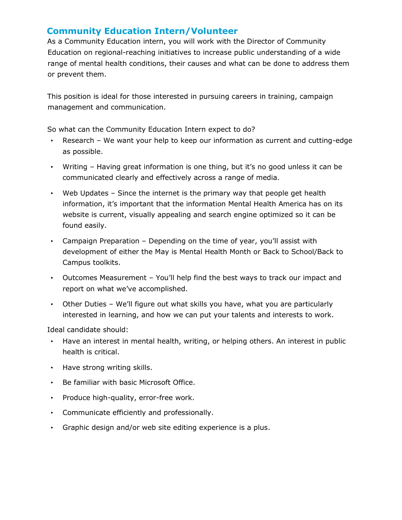### **Community Education Intern/Volunteer**

As a Community Education intern, you will work with the Director of Community Education on regional-reaching initiatives to increase public understanding of a wide range of mental health conditions, their causes and what can be done to address them or prevent them.

This position is ideal for those interested in pursuing careers in training, campaign management and communication.

So what can the Community Education Intern expect to do?

- Research We want your help to keep our information as current and cutting-edge as possible.
- Writing Having great information is one thing, but it's no good unless it can be communicated clearly and effectively across a range of media.
- Web Updates Since the internet is the primary way that people get health information, it's important that the information Mental Health America has on its website is current, visually appealing and search engine optimized so it can be found easily.
- Campaign Preparation Depending on the time of year, you'll assist with development of either the May is Mental Health Month or Back to School/Back to Campus toolkits.
- Outcomes Measurement You'll help find the best ways to track our impact and report on what we've accomplished.
- Other Duties We'll figure out what skills you have, what you are particularly interested in learning, and how we can put your talents and interests to work.

Ideal candidate should:

- Have an interest in mental health, writing, or helping others. An interest in public health is critical.
- Have strong writing skills.
- Be familiar with basic Microsoft Office.
- Produce high-quality, error-free work.
- Communicate efficiently and professionally.
- Graphic design and/or web site editing experience is a plus.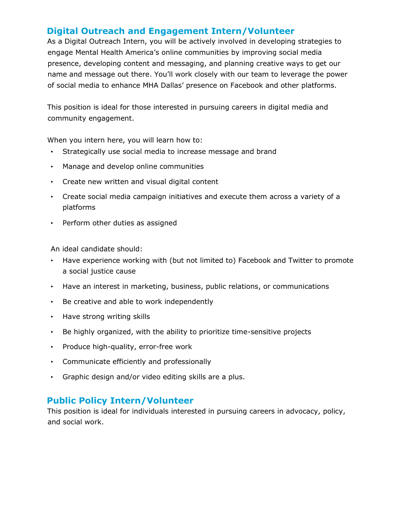#### **Digital Outreach and Engagement Intern/Volunteer**

As a Digital Outreach Intern, you will be actively involved in developing strategies to engage Mental Health America's online communities by improving social media presence, developing content and messaging, and planning creative ways to get our name and message out there. You'll work closely with our team to leverage the power of social media to enhance MHA Dallas' presence on Facebook and other platforms.

This position is ideal for those interested in pursuing careers in digital media and community engagement.

When you intern here, you will learn how to:

- Strategically use social media to increase message and brand
- Manage and develop online communities
- Create new written and visual digital content
- Create social media campaign initiatives and execute them across a variety of a platforms
- Perform other duties as assigned

An ideal candidate should:

- Have experience working with (but not limited to) Facebook and Twitter to promote a social justice cause
- Have an interest in marketing, business, public relations, or communications
- Be creative and able to work independently
- Have strong writing skills
- Be highly organized, with the ability to prioritize time-sensitive projects
- Produce high-quality, error-free work
- Communicate efficiently and professionally
- Graphic design and/or video editing skills are a plus.

#### **Public Policy Intern/Volunteer**

This position is ideal for individuals interested in pursuing careers in advocacy, policy, and social work.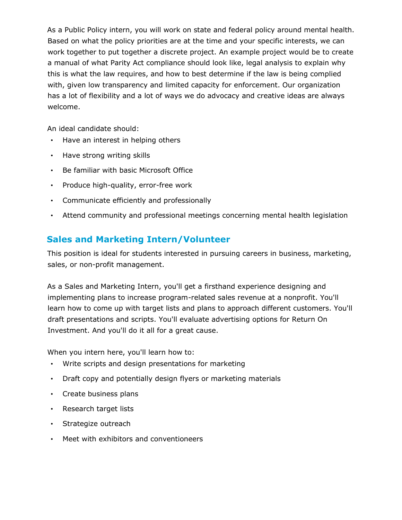As a Public Policy intern, you will work on state and federal policy around mental health. Based on what the policy priorities are at the time and your specific interests, we can work together to put together a discrete project. An example project would be to create a manual of what Parity Act compliance should look like, legal analysis to explain why this is what the law requires, and how to best determine if the law is being complied with, given low transparency and limited capacity for enforcement. Our organization has a lot of flexibility and a lot of ways we do advocacy and creative ideas are always welcome.

An ideal candidate should:

- Have an interest in helping others
- Have strong writing skills
- Be familiar with basic Microsoft Office
- Produce high-quality, error-free work
- Communicate efficiently and professionally
- Attend community and professional meetings concerning mental health legislation

# **Sales and Marketing Intern/Volunteer**

This position is ideal for students interested in pursuing careers in business, marketing, sales, or non-profit management.

As a Sales and Marketing Intern, you'll get a firsthand experience designing and implementing plans to increase program-related sales revenue at a nonprofit. You'll learn how to come up with target lists and plans to approach different customers. You'll draft presentations and scripts. You'll evaluate advertising options for Return On Investment. And you'll do it all for a great cause.

When you intern here, you'll learn how to:

- Write scripts and design presentations for marketing
- Draft copy and potentially design flyers or marketing materials
- Create business plans
- Research target lists
- Strategize outreach
- Meet with exhibitors and conventioneers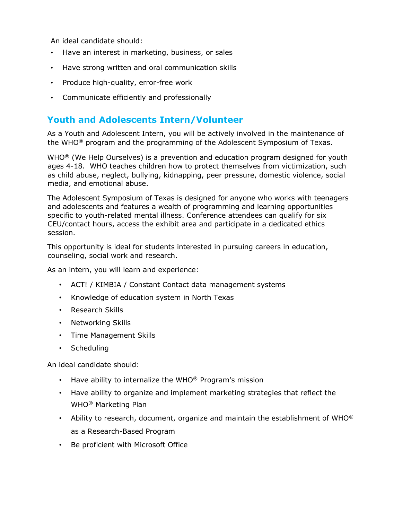An ideal candidate should:

- Have an interest in marketing, business, or sales
- Have strong written and oral communication skills
- Produce high-quality, error-free work
- Communicate efficiently and professionally

## **Youth and Adolescents Intern/Volunteer**

As a Youth and Adolescent Intern, you will be actively involved in the maintenance of the WHO<sup>®</sup> program and the programming of the Adolescent Symposium of Texas.

 $WHO^{\circledR}$  (We Help Ourselves) is a prevention and education program designed for youth ages 4-18. WHO teaches children how to protect themselves from victimization, such as child abuse, neglect, bullying, kidnapping, peer pressure, domestic violence, social media, and emotional abuse.

The Adolescent Symposium of Texas is designed for anyone who works with teenagers and adolescents and features a wealth of programming and learning opportunities specific to youth-related mental illness. Conference attendees can qualify for six CEU/contact hours, access the exhibit area and participate in a dedicated ethics session.

This opportunity is ideal for students interested in pursuing careers in education, counseling, social work and research.

As an intern, you will learn and experience:

- ACT! / KIMBIA / Constant Contact data management systems
- Knowledge of education system in North Texas
- Research Skills
- Networking Skills
- Time Management Skills
- Scheduling

An ideal candidate should:

- Have ability to internalize the WHO® Program's mission
- Have ability to organize and implement marketing strategies that reflect the WHO® Marketing Plan
- Ability to research, document, organize and maintain the establishment of WHO® as a Research-Based Program
- Be proficient with Microsoft Office